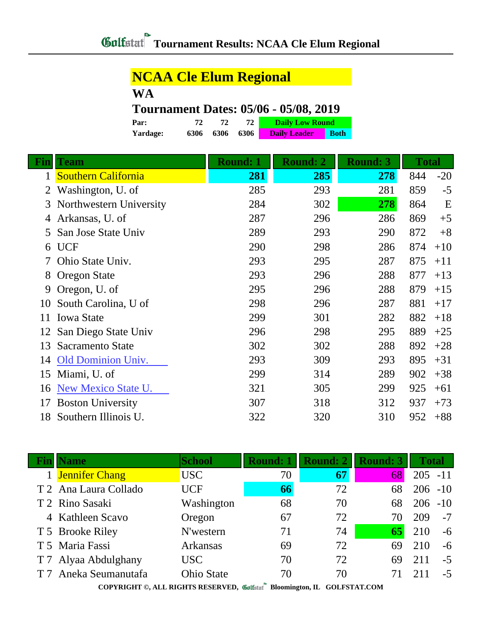## **NCAA Cle Elum Regional**

**WA**

## **Tournament Dates: 05/06 - 05/08, 2019**

| Par:     | 72   | 72   | 72     | <b>Daily Low Round</b> |             |  |
|----------|------|------|--------|------------------------|-------------|--|
| Yardage: | 6306 | 6306 | - 6306 | <b>Daily Leader</b>    | <b>Both</b> |  |

| Fin | <b>Team</b>                | <b>Round: 1</b> | <b>Round: 2</b> | <b>Round: 3</b> | <b>Total</b> |       |
|-----|----------------------------|-----------------|-----------------|-----------------|--------------|-------|
|     | <b>Southern California</b> | 281             | 285             | 278             | 844          | $-20$ |
|     | Washington, U. of          | 285             | 293             | 281             | 859          | $-5$  |
| 3   | Northwestern University    | 284             | 302             | 278             | 864          | E     |
|     | Arkansas, U. of            | 287             | 296             | 286             | 869          | $+5$  |
| 5.  | San Jose State Univ        | 289             | 293             | 290             | 872          | $+8$  |
| 6   | <b>UCF</b>                 | 290             | 298             | 286             | 874          | $+10$ |
|     | Ohio State Univ.           | 293             | 295             | 287             | 875          | $+11$ |
| 8   | <b>Oregon State</b>        | 293             | 296             | 288             | 877          | $+13$ |
| 9   | Oregon, U. of              | 295             | 296             | 288             | 879          | $+15$ |
| 10  | South Carolina, U of       | 298             | 296             | 287             | 881          | $+17$ |
| 11  | <b>Iowa State</b>          | 299             | 301             | 282             | 882          | $+18$ |
|     | San Diego State Univ       | 296             | 298             | 295             | 889          | $+25$ |
| 13  | <b>Sacramento State</b>    | 302             | 302             | 288             | 892          | $+28$ |
| 14  | <b>Old Dominion Univ.</b>  | 293             | 309             | 293             | 895          | $+31$ |
| 15  | Miami, U. of               | 299             | 314             | 289             | 902          | $+38$ |
| 16  | New Mexico State U.        | 321             | 305             | 299             | 925          | $+61$ |
| 17  | <b>Boston University</b>   | 307             | 318             | 312             | 937          | $+73$ |
| 18  | Southern Illinois U.       | 322             | 320             | 310             | 952          | $+88$ |

| <b>Name</b>           | <b>School</b>     | <b>Round: 1</b> | <b>Round: 2</b> | <b>Round: 3</b> | <b>Total</b> |       |
|-----------------------|-------------------|-----------------|-----------------|-----------------|--------------|-------|
| 1 Jennifer Chang      | USC               | 70              | 67              | 68              | $205 - 11$   |       |
| T 2 Ana Laura Collado | <b>UCF</b>        | 66              | 72              | 68              | $206 - 10$   |       |
| T 2 Rino Sasaki       | Washington        | 68              | 70              | 68              | 206          | $-10$ |
| 4 Kathleen Scavo      | Oregon            | 67              | 72              |                 | 209          | $-7$  |
| T 5 Brooke Riley      | N'western         | 71              | 74              | 65              | 210          | $-6$  |
| T 5 Maria Fassi       | <b>Arkansas</b>   | 69              | 72              | 69              | 210          | $-6$  |
| T 7 Alyaa Abdulghany  | USC <sub>.</sub>  | 70              | 72              | 69              | 211          | $-5$  |
| T 7 Aneka Seumanutafa | <b>Ohio State</b> | 70              | 70              |                 |              | $-5$  |
|                       |                   | $\sim$          |                 |                 |              |       |

**COPYRIGHT ©, ALL RIGHTS RESERVED, Bloomington, IL GOLFSTAT.COM**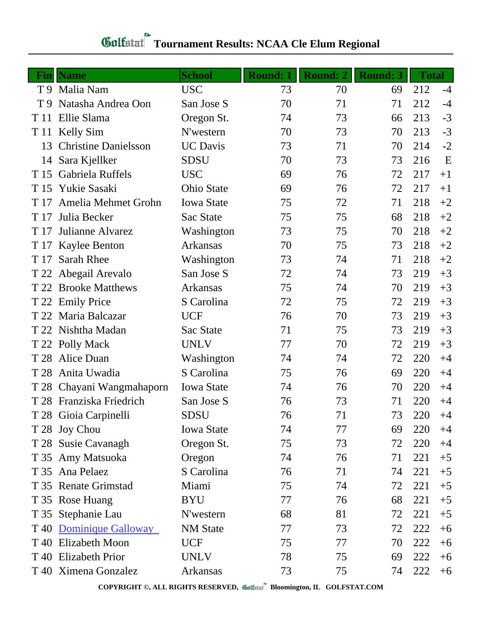## **Tournament Results: NCAA Cle Elum Regional**

|                | <b>Fin</b> Name             | <b>School</b>     | <b>Round: 1</b> | <b>Round: 2</b> | <b>Round: 3</b> | <b>Total</b> |      |
|----------------|-----------------------------|-------------------|-----------------|-----------------|-----------------|--------------|------|
|                | T 9 Malia Nam               | <b>USC</b>        | 73              | 70              | 69              | 212          | $-4$ |
| T <sub>9</sub> | Natasha Andrea Oon          | San Jose S        | 70              | 71              | 71              | 212          | $-4$ |
| T 11           | Ellie Slama                 | Oregon St.        | 74              | 73              | 66              | 213          | $-3$ |
| T 11           | Kelly Sim                   | N'western         | 70              | 73              | 70              | 213          | $-3$ |
| 13             | <b>Christine Danielsson</b> | <b>UC</b> Davis   | 73              | 71              | 70              | 214          | $-2$ |
| 14             | Sara Kjellker               | <b>SDSU</b>       | 70              | 73              | 73              | 216          | E    |
| T 15           | Gabriela Ruffels            | <b>USC</b>        | 69              | 76              | 72              | 217          | $+1$ |
| T 15           | Yukie Sasaki                | <b>Ohio State</b> | 69              | 76              | 72              | 217          | $+1$ |
| T 17           | Amelia Mehmet Grohn         | <b>Iowa State</b> | 75              | 72              | 71              | 218          | $+2$ |
| T 17           | Julia Becker                | Sac State         | 75              | 75              | 68              | 218          | $+2$ |
| T 17           | Julianne Alvarez            | Washington        | 73              | 75              | 70              | 218          | $+2$ |
| T 17           | <b>Kaylee Benton</b>        | Arkansas          | 70              | 75              | 73              | 218          | $+2$ |
| T 17           | <b>Sarah Rhee</b>           | Washington        | 73              | 74              | 71              | 218          | $+2$ |
|                | T 22 Abegail Arevalo        | San Jose S        | 72              | 74              | 73              | 219          | $+3$ |
| T 22           | <b>Brooke Matthews</b>      | Arkansas          | 75              | 74              | 70              | 219          | $+3$ |
|                | T 22 Emily Price            | S Carolina        | 72              | 75              | 72              | 219          | $+3$ |
| T 22           | Maria Balcazar              | <b>UCF</b>        | 76              | 70              | 73              | 219          | $+3$ |
| T 22           | Nishtha Madan               | Sac State         | 71              | 75              | 73              | 219          | $+3$ |
|                | T 22 Polly Mack             | <b>UNLV</b>       | 77              | 70              | 72              | 219          | $+3$ |
| T 28           | Alice Duan                  | Washington        | 74              | 74              | 72              | 220          | $+4$ |
| T 28           | Anita Uwadia                | S Carolina        | 75              | 76              | 69              | 220          | $+4$ |
| T 28           | Chayani Wangmahaporn        | <b>Iowa State</b> | 74              | 76              | 70              | 220          | $+4$ |
| T 28           | Franziska Friedrich         | San Jose S        | 76              | 73              | 71              | 220          | $+4$ |
|                | T 28 Gioia Carpinelli       | <b>SDSU</b>       | 76              | 71              | 73              | 220          | $+4$ |
|                | T 28 Joy Chou               | <b>Iowa State</b> | 74              | 77              | 69              | 220          | $+4$ |
|                | T 28 Susie Cavanagh         | Oregon St.        | 75              | 73              | 72              | 220          | $+4$ |
|                | T 35 Amy Matsuoka           | Oregon            | 74              | 76              | 71              | 221          | $+5$ |
|                | T 35 Ana Pelaez             | S Carolina        | 76              | 71              | 74              | 221          | $+5$ |
|                | T 35 Renate Grimstad        | Miami             | 75              | 74              | 72              | 221          | $+5$ |
|                | T 35 Rose Huang             | <b>BYU</b>        | 77              | 76              | 68              | 221          | $+5$ |
|                | T 35 Stephanie Lau          | N'western         | 68              | 81              | 72              | 221          | $+5$ |
|                | T 40 Dominique Galloway     | <b>NM</b> State   | 77              | 73              | 72              | 222          | $+6$ |
| T 40           | <b>Elizabeth Moon</b>       | <b>UCF</b>        | 75              | 77              | 70              | 222          | $+6$ |
|                | T 40 Elizabeth Prior        | <b>UNLV</b>       | 78              | 75              | 69              | 222          | $+6$ |
|                | T 40 Ximena Gonzalez        | Arkansas          | 73              | 75              | 74              | 222          | $+6$ |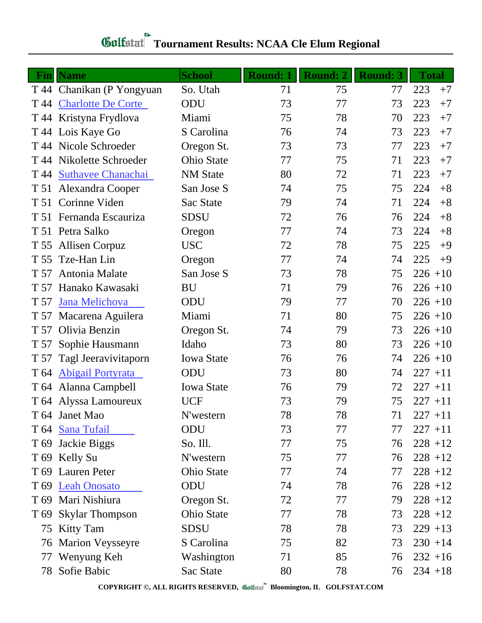## Gulfstat Tournament Results: NCAA Cle Elum Regional

|      | <b>Fin</b> Name           | <b>School</b>     | <b>Round: 1</b> | <b>Round: 2</b> | <b>Round: 3</b> | <b>Total</b> |
|------|---------------------------|-------------------|-----------------|-----------------|-----------------|--------------|
|      | T 44 Chanikan (P Yongyuan | So. Utah          | 71              | 75              | 77              | 223<br>$+7$  |
|      | T 44 Charlotte De Corte   | ODU               | 73              | 77              | 73              | 223<br>$+7$  |
|      | T 44 Kristyna Frydlova    | Miami             | 75              | 78              | 70              | 223<br>$+7$  |
|      | T 44 Lois Kaye Go         | S Carolina        | 76              | 74              | 73              | 223<br>$+7$  |
|      | T 44 Nicole Schroeder     | Oregon St.        | 73              | 73              | 77              | 223<br>$+7$  |
|      | T 44 Nikolette Schroeder  | <b>Ohio State</b> | 77              | 75              | 71              | 223<br>$+7$  |
|      | T 44 Suthavee Chanachai   | <b>NM</b> State   | 80              | 72              | 71              | 223<br>$+7$  |
|      | T 51 Alexandra Cooper     | San Jose S        | 74              | 75              | 75              | 224<br>$+8$  |
|      | T 51 Corinne Viden        | Sac State         | 79              | 74              | 71              | 224<br>$+8$  |
|      | T 51 Fernanda Escauriza   | <b>SDSU</b>       | 72              | 76              | 76              | 224<br>$+8$  |
|      | T 51 Petra Salko          | Oregon            | 77              | 74              | 73              | 224<br>$+8$  |
|      | T 55 Allisen Corpuz       | <b>USC</b>        | 72              | 78              | 75              | 225<br>$+9$  |
|      | T 55 Tze-Han Lin          | Oregon            | 77              | 74              | 74              | 225<br>$+9$  |
| T 57 | Antonia Malate            | San Jose S        | 73              | 78              | 75              | $226 + 10$   |
|      | T 57 Hanako Kawasaki      | <b>BU</b>         | 71              | 79              | 76              | $226 + 10$   |
| T 57 | Jana Melichova            | ODU               | 79              | 77              | 70              | $226 + 10$   |
|      | T 57 Macarena Aguilera    | Miami             | 71              | 80              | 75              | $226 + 10$   |
| T 57 | Olivia Benzin             | Oregon St.        | 74              | 79              | 73              | $226 + 10$   |
| T 57 | Sophie Hausmann           | Idaho             | 73              | 80              | 73              | $226 + 10$   |
| T 57 | Tagl Jeeravivitaporn      | <b>Iowa State</b> | 76              | 76              | 74              | $226 + 10$   |
|      | T 64 Abigail Portyrata    | ODU               | 73              | 80              | 74              | $227 + 11$   |
|      | T 64 Alanna Campbell      | <b>Iowa State</b> | 76              | 79              | 72              | $227 + 11$   |
|      | T 64 Alyssa Lamoureux     | <b>UCF</b>        | 73              | 79              | 75              | $227 + 11$   |
|      | T 64 Janet Mao            | N'western         | 78              | 78              | 71              | $227 + 11$   |
|      | T 64 Sana Tufail          | ODU               | 73              | 77              | 77              | $227 + 11$   |
|      | T 69 Jackie Biggs         | So. Ill.          | 77              | 75              | 76              | $228 + 12$   |
|      | T 69 Kelly Su             | N'western         | 75              | 77              | 76              | $228 + 12$   |
|      | T 69 Lauren Peter         | Ohio State        | 77              | 74              | 77              | $228 + 12$   |
|      | T 69 Leah Onosato         | ODU               | 74              | 78              | 76              | $228 + 12$   |
|      | T 69 Mari Nishiura        | Oregon St.        | 72              | 77              | 79              | $228 + 12$   |
|      | T 69 Skylar Thompson      | <b>Ohio State</b> | 77              | 78              | 73              | $228 + 12$   |
|      | 75 Kitty Tam              | <b>SDSU</b>       | 78              | 78              | 73              | $229 + 13$   |
| 76   | <b>Marion Veysseyre</b>   | S Carolina        | 75              | 82              | 73              | $230 + 14$   |
| 77   | Wenyung Keh               | Washington        | 71              | 85              | 76              | $232 + 16$   |
|      | 78 Sofie Babic            | Sac State         | 80              | 78              | 76              | $234 + 18$   |